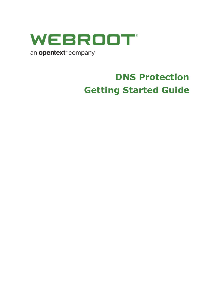

# **DNS Protection Getting Started Guide**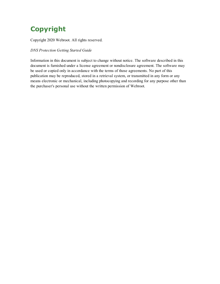## **Copyright**

Copyright 2020 Webroot. All rights reserved.

*DNS Protection Getting Started Guide*

Information in this document is subject to change without notice. The software described in this document is furnished under a license agreement or nondisclosure agreement. The software may be used or copied only in accordance with the terms of those agreements. No part of this publication may be reproduced, stored in a retrieval system, or transmitted in any form or any means electronic or mechanical, including photocopying and recording for any purpose other than the purchaser's personal use without the written permission of Webroot.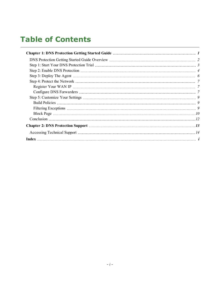# **Table of Contents**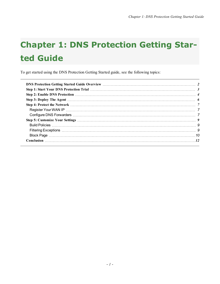# <span id="page-6-0"></span>**Chapter 1: DNS Protection Getting Started Guide**

To get started using the DNS Protection Getting Started guide, see the following topics: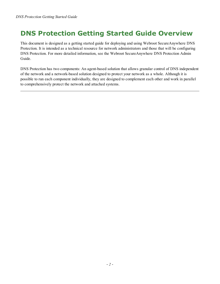## <span id="page-7-0"></span>**DNS Protection Getting Started Guide Overview**

This document is designed as a getting started guide for deploying and using Webroot SecureAnywhere DNS Protection. It is intended as a technical resource for network administrators and those that will be configuring DNS Protection. For more detailed information, see the Webroot SecureAnywhere DNS Protection Admin Guide.

DNS Protection has two components: An agent-based solution that allows granular control of DNS independent of the network and a network-based solution designed to protect your network as a whole. Although it is possible to run each component individually, they are designed to complement each other and work in parallel to comprehensively protect the network and attached systems.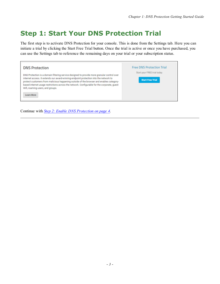## <span id="page-8-0"></span>**Step 1: Start Your DNS Protection Trial**

The first step is to activate DNS Protection for your console. This is done from the Settings tab. Here you can initiate a trial by clicking the Start Free Trial button. Once the trial is active or once you have purchased, you can use the Settings tab to reference the remaining days on your trial or your subscription status.

| <b>DNS Protection</b>                                                                                                                                                                                                                                                                                                                                                                                                            | <b>Free DNS Protection Trial</b>                       |
|----------------------------------------------------------------------------------------------------------------------------------------------------------------------------------------------------------------------------------------------------------------------------------------------------------------------------------------------------------------------------------------------------------------------------------|--------------------------------------------------------|
| DNS Protection is a domain filtering service designed to provide more granular control over<br>internet access. It extends our award-winning endpoint protection into the network to<br>protect customers from malicious happening outside of the browser and enables category-<br>based internet usage restrictions across the network. Configurable for the corporate, guest<br>Wifi, roaming users, and groups.<br>Learn More | Start your FREE trial today<br><b>Start Free Trial</b> |

Continue with *Step 2: Enable DNS [Protection](#page-9-0) on page 4*.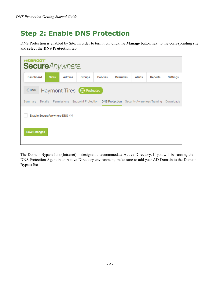## <span id="page-9-0"></span>**Step 2: Enable DNS Protection**

DNS Protection is enabled by Site. In order to turn it on, click the **Manage** button next to the corresponding site and select the **DNS Protection** tab.

| WEBROOT"<br><b>Secure</b> Anywhere. |              |               |                                  |                 |                                                                                    |        |         |           |
|-------------------------------------|--------------|---------------|----------------------------------|-----------------|------------------------------------------------------------------------------------|--------|---------|-----------|
| Dashboard                           | <b>Sites</b> | <b>Admins</b> | Groups                           | <b>Policies</b> | Overrides                                                                          | Alerts | Reports | Settings  |
| $\langle$ Back                      |              |               | Haymont Tires <b>S</b> Protected |                 |                                                                                    |        |         |           |
| Summary                             |              |               |                                  |                 | Details Permissions Endpoint Protection DNS Protection Security Awareness Training |        |         | Downloads |
| Enable SecureAnywhere DNS (?)       |              |               |                                  |                 |                                                                                    |        |         |           |
| <b>Save Changes</b>                 |              |               |                                  |                 |                                                                                    |        |         |           |

The Domain Bypass List (Intranet) is designed to accommodate Active Directory. If you will be running the DNS Protection Agent in an Active Directory environment, make sure to add your AD Domain to the Domain Bypass list.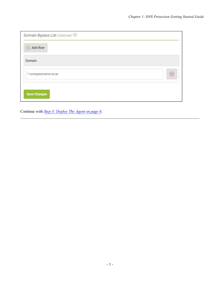| Domain Bypass List (Optional) <sup>7</sup> |           |
|--------------------------------------------|-----------|
| <b>Add Row</b>                             |           |
| Domain                                     |           |
| *.companyname.local                        | $\propto$ |
| <b>Save Changes</b>                        |           |

Continue with *Step 3: [Deploy](#page-11-0) The Agent on page 6*.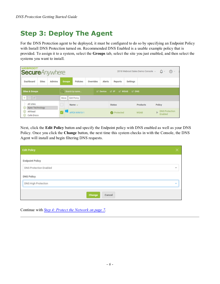## <span id="page-11-0"></span>**Step 3: Deploy The Agent**

For the DNS Protection agent to be deployed, it must be configured to do so by specifying an Endpoint Policy with Install DNS Protection turned on. Recommended DNS Enabled is a usable example policy that is provided. To assign it to a system, select the **Groups** tab, select the site you just enabled, and then select the systems you want to install.

| <b>WEBROOT</b><br><b>Secure</b> Anywhere.    |                                               |                                                | 2018 Webroot Sales Demo Console v | $\Omega$ -<br>$\cap$ $\sim$           |
|----------------------------------------------|-----------------------------------------------|------------------------------------------------|-----------------------------------|---------------------------------------|
| Dashboard<br><b>Admins</b><br><b>Sites</b>   | <b>Policies</b><br>Overrides<br><b>Groups</b> | <b>Alerts</b><br><b>Reports</b>                | <b>Settings</b>                   |                                       |
| <b>Sites &amp; Groups</b>                    | Q Search by name                              | $\vee$ Device $\vee$ IP $\vee$ WSAB $\vee$ DNS |                                   |                                       |
| $+$ $ \sigma$                                | Move Edit Policy                              |                                                |                                   |                                       |
| $-$ All sites<br><b>Apex Technology</b><br>⊕ | Name $-$                                      | <b>Status</b>                                  | Products                          | Policy                                |
| Athlead<br>⊕<br>Cafe Disco<br>$\odot$        | APEX-WIN10-1                                  | <b>O</b> Protected                             | <b>WSAB</b>                       | <b>DNS Protection</b><br>ь<br>Enabled |

Next, click the **Edit Policy** button and specify the Endpoint policy with DNS enabled as well as your DNS Policy. Once you click the **Change** button, the next time this system checks in with the Console, the DNS Agent will install and begin filtering DNS requests.

| <b>Edit Policy</b>            | ×    |
|-------------------------------|------|
| <b>Endpoint Policy</b>        |      |
| <b>DNS Protection Enabled</b> | $\;$ |
| <b>DNS Policy</b>             |      |
| DNS High Protection           | ٠    |
| Change<br>Cancel              |      |

Continue with *Step 4: Protect the [Network](#page-12-0) on page 7*.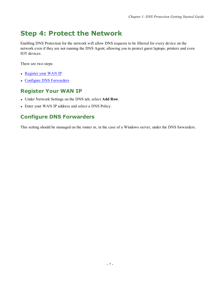## <span id="page-12-0"></span>**Step 4: Protect the Network**

Enabling DNS Protection for the network will allow DNS requests to be filtered for every device on the network even if they are not running the DNS Agent; allowing you to protect guest laptops, printers and even IOT devices.

There are two steps:

- [Register](#page-12-1) your WAN IP
- <span id="page-12-1"></span>• Configure DNS [Forwarders](#page-12-2)

### **Register Your WAN IP**

- <sup>l</sup> Under Network Settings on the DNS tab, select **Add Row**.
- <span id="page-12-2"></span>• Enter your WAN IP address and select a DNS Policy.

### **Configure DNS Forwarders**

This setting should be managed on the router or, in the case of a Windows server, under the DNS forwarders.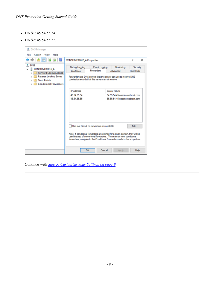- $\bullet$  DNS1: 45.54.55.54.
- $\bullet$  DNS2: 45.54.55.55.

| DNS Manager<br>File Action View<br>Help                                                                                                                                             |                                                 |                                                                                                                                                                                                                                                                                       |                                                                                 |                        |
|-------------------------------------------------------------------------------------------------------------------------------------------------------------------------------------|-------------------------------------------------|---------------------------------------------------------------------------------------------------------------------------------------------------------------------------------------------------------------------------------------------------------------------------------------|---------------------------------------------------------------------------------|------------------------|
| $\Rightarrow$ 2 $\text{m}$ 0 $\text{m}$ 2                                                                                                                                           | <b>WINSERVER2016 A Properties</b>               |                                                                                                                                                                                                                                                                                       |                                                                                 | ?<br>$\times$          |
| å.<br><b>DNS</b><br><b>II</b> WINSERVER2016 A<br>$\checkmark$<br><b>Forward Lookup Zones</b><br><b>Reverse Lookup Zones</b><br><b>Trust Points</b><br><b>Conditional Forwarders</b> | Debug Logging<br><b>Interfaces</b>              | Event Logging<br>Forwarders<br>Forwarders are DNS servers that this server can use to resolve DNS<br>queries for records that this server cannot resolve.                                                                                                                             | Monitoring<br>Advanced                                                          | Security<br>Root Hints |
|                                                                                                                                                                                     | <b>IP Address</b><br>45.54.55.54<br>45.54.55.55 |                                                                                                                                                                                                                                                                                       | Server FQDN<br>54.55.54.45.wsadns.webroot.com<br>55.55.54.45.wsadns.webroot.com |                        |
|                                                                                                                                                                                     |                                                 | Use root hints if no forwarders are available<br>Note: If conditional forwarders are defined for a given domain, they will be<br>used instead of server-level forwarders. To create or view conditional<br>forwarders, navigate to the Conditional Forwarders node in the scope tree. |                                                                                 | Edit                   |
|                                                                                                                                                                                     |                                                 | Cancel<br>OK                                                                                                                                                                                                                                                                          | Apply                                                                           | Help                   |

Continue with *Step 5: [Customize](#page-14-0) Your Settings on page 9*.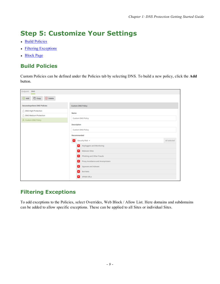# <span id="page-14-0"></span>**Step 5: Customize Your Settings**

- Build [Policies](#page-14-1)
- Filtering [Exceptions](#page-14-2)
- <span id="page-14-1"></span>• [Block](#page-15-0) Page

### **Build Policies**

Custom Policies can be defined under the Policies tab by selecting DNS. To build a new policy, click the **Add** button.

| Endpoint DNS                |                           |                                 |              |
|-----------------------------|---------------------------|---------------------------------|--------------|
| Add Copy ® Delete           |                           |                                 |              |
| SecureAnywhere DNS Policies | <b>Custom DNS Policy</b>  |                                 |              |
| ONS High Protection         | Name                      |                                 |              |
| △ DNS Medium Protection     |                           |                                 |              |
| A Custom DNS Policy         | <b>Custom DNS Policy</b>  |                                 |              |
|                             | Description               |                                 |              |
|                             | <b>Custom DNS Policy</b>  |                                 |              |
|                             | Recommended               |                                 |              |
|                             | Security Risk A           |                                 | All selected |
|                             | Keyloggers and Monitoring |                                 |              |
|                             | Malware Sites<br>×        |                                 |              |
|                             | ×                         | Phishing and Other Frauds       |              |
|                             | ×                         | Proxy Avoidance and Anonymizers |              |
|                             | Spyware and Adware<br>×   |                                 |              |
|                             | <b>Bot Nets</b><br>×ı     |                                 |              |
|                             | SPAM URLS<br>×            |                                 |              |

### <span id="page-14-2"></span>**Filtering Exceptions**

To add exceptions to the Policies, select Overrides, Web Block / Allow List. Here domains and subdomains can be added to allow specific exceptions. These can be applied to all Sites or individual Sites.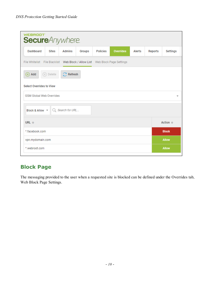| WEBROOT <sup>®</sup><br><b>Secure</b> Anywhere.                              |                           |                  |        |         |                          |
|------------------------------------------------------------------------------|---------------------------|------------------|--------|---------|--------------------------|
| <b>Dashboard</b><br><b>Sites</b><br><b>Admins</b>                            | <b>Policies</b><br>Groups | <b>Overrides</b> | Alerts | Reports | Settings                 |
| File Whitelist File Blacklist Web Block / Allow List Web Block Page Settings |                           |                  |        |         |                          |
| $\bigcirc$ Refresh<br>Add<br>$(x)$ Delete<br>$^{\rm (+)}$                    |                           |                  |        |         |                          |
| <b>Select Overrides to View</b>                                              |                           |                  |        |         |                          |
| <b>GSM Global Web Overrides</b>                                              |                           |                  |        |         | $\overline{\phantom{a}}$ |
| Block & Allow ~<br>Q Search for URL                                          |                           |                  |        |         |                          |
| URL $\oplus$                                                                 |                           |                  |        |         | Action $\Leftrightarrow$ |
| * facebook.com                                                               |                           |                  |        |         | <b>Block</b>             |
| vpn.mydomain.com                                                             |                           |                  |        |         | <b>Allow</b>             |
| *.webroot.com                                                                |                           |                  |        |         | <b>Allow</b>             |

## <span id="page-15-0"></span>**Block Page**

The messaging provided to the user when a requested site is blocked can be defined under the Overrides tab, Web Block Page Settings.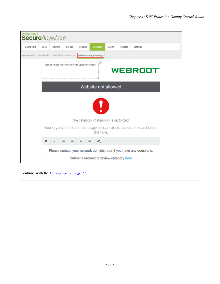| <b>WEBROOT</b><br><b>Secure</b> Anywhere                                     |              |               |        |                                                      |                                                                                             |        |                |                 |                |  |
|------------------------------------------------------------------------------|--------------|---------------|--------|------------------------------------------------------|---------------------------------------------------------------------------------------------|--------|----------------|-----------------|----------------|--|
| Dashboard                                                                    | <b>Sites</b> | <b>Admins</b> | Groups | <b>Policies</b>                                      | <b>Overrides</b>                                                                            | Alerts | <b>Reports</b> | <b>Settings</b> |                |  |
| File Whitelist File Blacklist Web Block / Allow List Web Block Page Settings |              |               |        |                                                      |                                                                                             |        |                |                 |                |  |
|                                                                              |              |               |        | Drag an image file or click here to upload your logo |                                                                                             |        |                |                 | <b>WEBROOT</b> |  |
|                                                                              |              |               |        |                                                      | Website not allowed                                                                         |        |                |                 |                |  |
|                                                                              |              |               |        |                                                      |                                                                                             |        |                |                 |                |  |
|                                                                              |              |               |        |                                                      | The category <category> is restricted.</category>                                           |        |                |                 |                |  |
|                                                                              |              |               |        |                                                      | Your organization's Internet usage policy restricts access to this website at<br>this time. |        |                |                 |                |  |
|                                                                              | в            | ı             | Ξ<br>Ξ | Ξ                                                    | $\sigma^2$ .<br>$\equiv$                                                                    |        |                |                 |                |  |
|                                                                              |              |               |        |                                                      | Please contact your network administrator if you have any questions.                        |        |                |                 |                |  |
|                                                                              |              |               |        |                                                      | Submit a request to review category here                                                    |        |                |                 |                |  |

Continue with the *[Conclusion](#page-17-0) on page 12*.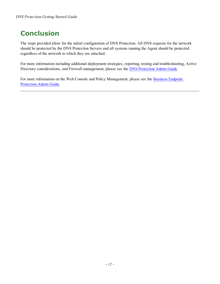## <span id="page-17-0"></span>**Conclusion**

The steps provided allow for the initial configuration of DNS Protection. All DNS requests for the network should be protected by the DNS Protection Servers and all systems running the Agent should be protected regardless of the network to which they are attached.

For more information including additional deployment strategies, reporting, testing and troubleshooting, Active Directory considerations, and Firewall management, please see the DNS [Protection](https://docs.webroot.com/us/en/business/dnsprotection_adminguide/dnsprotection_adminguide.htm) Admin Guide.

For more information on the Web Console and Policy Management, please see the [Business](https://docs.webroot.com/us/en/business/wsab_endpointprotection_adminguide/wsab_endpointprotection_adminguide.htm) Endpoint [Protection](https://docs.webroot.com/us/en/business/wsab_endpointprotection_adminguide/wsab_endpointprotection_adminguide.htm) Admin Guide.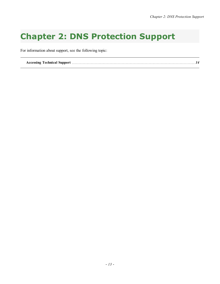# <span id="page-18-0"></span>**Chapter 2: DNS Protection Support**

For information about support, see the following topic:

**Accessing [Technical](#page-19-0) Support** *[14](#page-19-0)*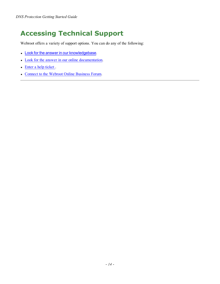## <span id="page-19-0"></span>**Accessing Technical Support**

Webroot offers a variety of support options. You can do any of the following:

- Look for the answer in our [knowledgebase](http://www5.nohold.net/Webroot/Loginr.aspx?pid=4&login=1).
- Look for the answer in our online [documentation](https://www.webroot.com/us/en/business/support/user-guides).
- $\bullet$  Enter a help [ticket](https://mysupport.webrootanywhere.com/supportwelcome.aspx?SOURCE=ENTERPRISEWSA).
- Connect to the Webroot Online [Business](https://community.webroot.com/t5/Business/ct-p/ent0?utm_source=WebrootSupportBusinessDocuments&utm_medium=hyperlink&utm_term=BusinessCommunity&utm_campaign=social) Forum.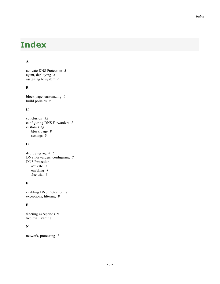# <span id="page-20-0"></span>**Index**

### **A**

activate DNS Protection *[3](#page-8-0)* agent, deploying *[6](#page-11-0)* assigning to system *[6](#page-11-0)*

### **B**

block page, customzing *[9](#page-14-0)* build policies *[9](#page-14-0)*

### **C**

conclusion *[12](#page-17-0)* configuring DNS Forwarders *[7](#page-12-0)* customizing block page *[9](#page-14-0)* settings *[9](#page-14-0)*

### **D**

deploying agent *[6](#page-11-0)* DNS Forwarders, configuring *[7](#page-12-0)* DNS Protection activate *[3](#page-8-0)* enabling *[4](#page-9-0)* free trial *[3](#page-8-0)*

### **E**

enabling DNS Protection *[4](#page-9-0)* exceptions, filtering *[9](#page-14-0)*

### **F**

filtering exceptions *[9](#page-14-0)* free trial, starting *[3](#page-8-0)*

### **N**

network, protecting *[7](#page-12-0)*